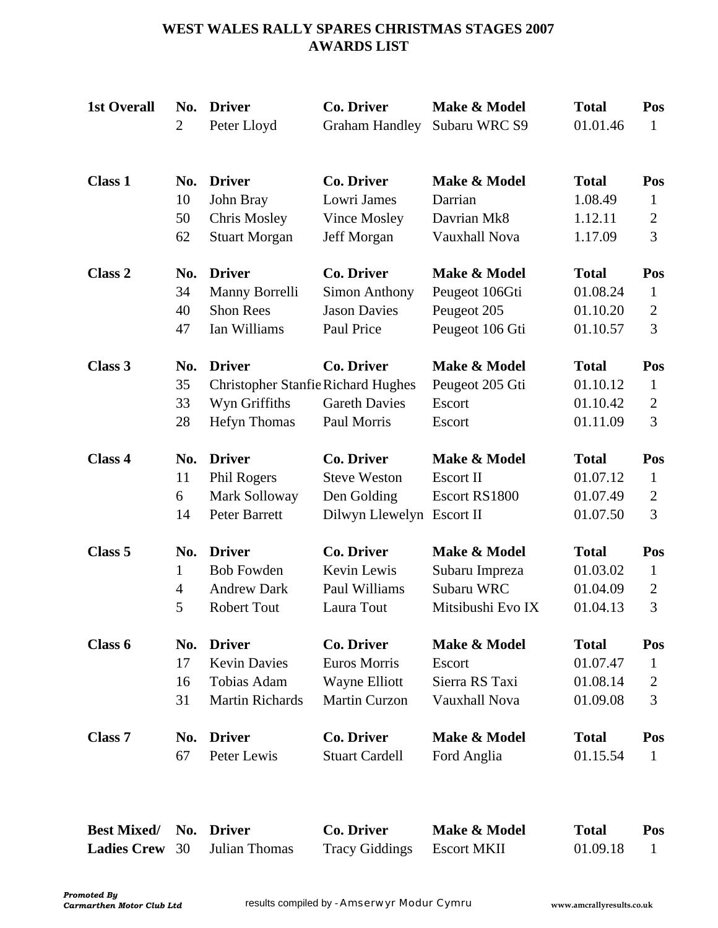# **WEST WALES RALLY SPARES CHRISTMAS STAGES 2007 AWARDS LIST**

| <b>1st Overall</b> | No.<br>$\overline{2}$ | <b>Driver</b><br>Peter Lloyd              | <b>Co. Driver</b><br><b>Graham Handley</b> | Make & Model<br>Subaru WRC S9 | <b>Total</b><br>01.01.46 | Pos<br>$\mathbf{1}$ |
|--------------------|-----------------------|-------------------------------------------|--------------------------------------------|-------------------------------|--------------------------|---------------------|
| <b>Class 1</b>     | No.                   | <b>Driver</b>                             | <b>Co. Driver</b>                          | Make & Model                  | <b>Total</b>             | Pos                 |
|                    | 10                    | John Bray                                 | Lowri James                                | Darrian                       | 1.08.49                  | 1                   |
|                    | 50                    | <b>Chris Mosley</b>                       | Vince Mosley                               | Davrian Mk8                   | 1.12.11                  | $\overline{2}$      |
|                    | 62                    | <b>Stuart Morgan</b>                      | Jeff Morgan                                | <b>Vauxhall Nova</b>          | 1.17.09                  | 3                   |
| Class 2            | No.                   | <b>Driver</b>                             | Co. Driver                                 | Make & Model                  | <b>Total</b>             | Pos                 |
|                    | 34                    | Manny Borrelli                            | <b>Simon Anthony</b>                       | Peugeot 106Gti                | 01.08.24                 | 1                   |
|                    | 40                    | <b>Shon Rees</b>                          | <b>Jason Davies</b>                        | Peugeot 205                   | 01.10.20                 | $\overline{2}$      |
|                    | 47                    | Ian Williams                              | Paul Price                                 | Peugeot 106 Gti               | 01.10.57                 | 3                   |
| Class 3            | No.                   | <b>Driver</b>                             | <b>Co. Driver</b>                          | Make & Model                  | <b>Total</b>             | Pos                 |
|                    | 35                    | <b>Christopher Stanfie Richard Hughes</b> |                                            | Peugeot 205 Gti               | 01.10.12                 | $\mathbf{1}$        |
|                    | 33                    | Wyn Griffiths                             | <b>Gareth Davies</b>                       | Escort                        | 01.10.42                 | $\overline{2}$      |
|                    | 28                    | <b>Hefyn Thomas</b>                       | Paul Morris                                | Escort                        | 01.11.09                 | 3                   |
| Class 4            | No.                   | <b>Driver</b>                             | <b>Co. Driver</b>                          | Make & Model                  | <b>Total</b>             | Pos                 |
|                    | 11                    | Phil Rogers                               | <b>Steve Weston</b>                        | <b>Escort II</b>              | 01.07.12                 | $\mathbf{1}$        |
|                    | 6                     | Mark Solloway                             | Den Golding                                | Escort RS1800                 | 01.07.49                 | $\overline{2}$      |
|                    | 14                    | Peter Barrett                             | Dilwyn Llewelyn                            | Escort II                     | 01.07.50                 | 3                   |
| Class 5            | No.                   | <b>Driver</b>                             | <b>Co. Driver</b>                          | Make & Model                  | <b>Total</b>             | Pos                 |
|                    | 1                     | <b>Bob Fowden</b>                         | Kevin Lewis                                | Subaru Impreza                | 01.03.02                 | 1                   |
|                    | $\overline{4}$        | <b>Andrew Dark</b>                        | Paul Williams                              | Subaru WRC                    | 01.04.09                 | $\overline{2}$      |
|                    | 5                     | <b>Robert Tout</b>                        | Laura Tout                                 | Mitsibushi Evo IX             | 01.04.13                 | 3                   |
| Class 6            | No.                   | <b>Driver</b>                             | <b>Co. Driver</b>                          | Make & Model                  | <b>Total</b>             | Pos                 |
|                    | 17                    | <b>Kevin Davies</b>                       | <b>Euros Morris</b>                        | Escort                        | 01.07.47                 | 1                   |
|                    | 16                    | Tobias Adam                               | Wayne Elliott                              | Sierra RS Taxi                | 01.08.14                 | $\overline{2}$      |
|                    | 31                    | <b>Martin Richards</b>                    | <b>Martin Curzon</b>                       | <b>Vauxhall Nova</b>          | 01.09.08                 | 3                   |
| Class <sub>7</sub> | No.                   | <b>Driver</b>                             | Co. Driver                                 | Make & Model                  | <b>Total</b>             | Pos                 |
|                    | 67                    | Peter Lewis                               | <b>Stuart Cardell</b>                      | Ford Anglia                   | 01.15.54                 | $\mathbf{1}$        |

| Best Mixed/ No. Driver |                                     | Co. Driver                 | Make & Model | <b>Total</b> | Pos |
|------------------------|-------------------------------------|----------------------------|--------------|--------------|-----|
|                        | <b>Ladies Crew</b> 30 Julian Thomas | Tracy Giddings Escort MKII |              | 01.09.18     |     |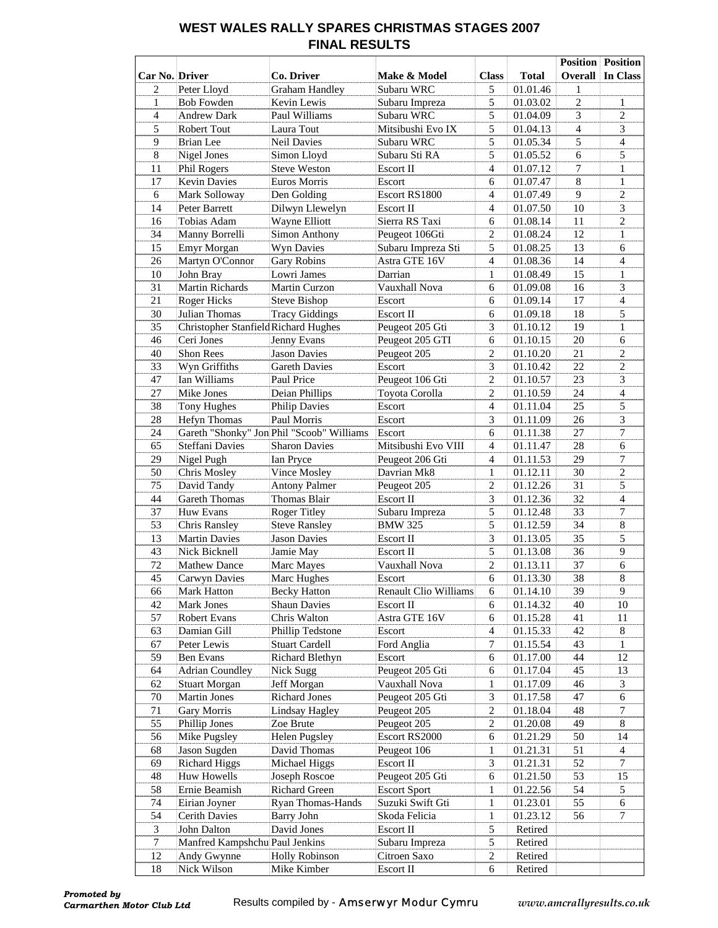### **WEST WALES RALLY SPARES CHRISTMAS STAGES 2007 FINAL RESULTS**

|                  |                                      |                                            |                              |                                |                      |                | <b>Position</b> Position |
|------------------|--------------------------------------|--------------------------------------------|------------------------------|--------------------------------|----------------------|----------------|--------------------------|
| Car No. Driver   |                                      | Co. Driver                                 | <b>Make &amp; Model</b>      | <b>Class</b>                   | <b>Total</b>         |                | <b>Overall In Class</b>  |
| $\overline{2}$   | Peter Lloyd                          | <b>Graham Handley</b>                      | Subaru WRC                   | 5                              | 01.01.46             | $\mathbf{1}$   |                          |
| $\mathbf{1}$     | <b>Bob Fowden</b>                    | Kevin Lewis                                | Subaru Impreza               | 5                              | 01.03.02             | $\overline{c}$ | $\mathbf{1}$             |
| $\overline{4}$   | <b>Andrew Dark</b>                   | Paul Williams                              | Subaru WRC                   | 5                              | 01.04.09             | $\overline{3}$ | $\overline{2}$           |
| 5                | Robert Tout                          | Laura Tout                                 | Mitsibushi Evo IX            | 5                              | 01.04.13             | $\overline{4}$ | $\overline{3}$           |
| 9                | <b>Brian</b> Lee                     | <b>Neil Davies</b>                         | Subaru WRC                   | 5                              | 01.05.34             | 5              | $\overline{4}$           |
| $\,8\,$          | Nigel Jones                          | Simon Lloyd                                | Subaru Sti RA                | 5                              | 01.05.52             | 6              | 5                        |
| 11               | Phil Rogers                          | <b>Steve Weston</b>                        | Escort II                    | $\overline{4}$                 | 01.07.12             | 7              | $\mathbf{1}$             |
| 17               | <b>Kevin Davies</b>                  | Euros Morris                               | Escort                       | 6                              | 01.07.47             | 8              | $\mathbf{1}$             |
| 6                | Mark Solloway                        | Den Golding                                | Escort RS1800                | $\overline{4}$                 | 01.07.49             | 9              | $\overline{2}$           |
| 14               | Peter Barrett                        | Dilwyn Llewelyn                            | Escort II                    | $\overline{4}$                 | 01.07.50             | $10\,$         | $\overline{3}$           |
| 16               | Tobias Adam                          | Wayne Elliott                              | Sierra RS Taxi               | 6                              | 01.08.14             | 11             | $\overline{c}$           |
| 34               | Manny Borrelli                       | Simon Anthony                              | Peugeot 106Gti               | $\overline{c}$                 | 01.08.24             | 12             | $\mathbf{1}$             |
| 15               | Emyr Morgan                          | Wyn Davies                                 | Subaru Impreza Sti           | 5                              | 01.08.25             | 13             | 6                        |
| 26               | Martyn O'Connor                      | <b>Gary Robins</b>                         | Astra GTE 16V                | $\overline{4}$                 | 01.08.36             | 14             | $\overline{4}$           |
| 10               | John Bray                            | Lowri James                                | Darrian                      | $\mathbf{1}$                   | 01.08.49             | 15             | $\mathbf{1}$             |
| 31               | Martin Richards                      | Martin Curzon                              | Vauxhall Nova                | 6                              | 01.09.08             | 16             | $\overline{3}$           |
| 21               | Roger Hicks                          | Steve Bishop                               | Escort                       | 6                              | 01.09.14             | 17             | $\overline{4}$           |
| 30               | Julian Thomas                        | <b>Tracy Giddings</b>                      | Escort II                    | 6                              | 01.09.18             | 18             | 5                        |
| 35               | Christopher Stanfield Richard Hughes |                                            | Peugeot 205 Gti              | 3                              | 01.10.12             | 19             | $\mathbf{1}$             |
| 46               | Ceri Jones                           | Jenny Evans                                | Peugeot 205 GTI              | 6                              | 01.10.15             | $20\,$         | 6                        |
| 40               | <b>Shon Rees</b>                     | <b>Jason Davies</b>                        | Peugeot 205                  | $\mathfrak{2}$                 | 01.10.20             | 21             | $\overline{2}$           |
| 33               | Wyn Griffiths                        | <b>Gareth Davies</b>                       | Escort                       | 3                              | 01.10.42             | 22             | $\overline{c}$           |
| 47               | Ian Williams                         | Paul Price                                 | Peugeot 106 Gti              | $\mathfrak{2}$                 | 01.10.57             | 23             | 3                        |
| 27               | Mike Jones                           | Deian Phillips                             | Toyota Corolla               | $\overline{c}$                 | 01.10.59             | 24             | $\overline{4}$           |
| 38               | <b>Tony Hughes</b>                   | <b>Philip Davies</b>                       | Escort                       | $\overline{4}$                 | 01.11.04             | 25             | $\overline{5}$           |
| 28               | Hefyn Thomas                         | Paul Morris                                | Escort                       | 3                              | 01.11.09             | 26             | $\overline{3}$           |
| 24               |                                      | Gareth "Shonky" Jon Phil "Scoob" Williams  | Escort                       | 6                              | 01.11.38             | 27             | $\overline{7}$           |
| 65               | Steffani Davies                      | <b>Sharon Davies</b>                       | Mitsibushi Evo VIII          | $\overline{4}$                 | 01.11.47             | 28             | 6                        |
| 29               | Nigel Pugh                           | Ian Pryce                                  | Peugeot 206 Gti              | $\overline{4}$                 | 01.11.53             | 29             | $\tau$                   |
| 50               | Chris Mosley                         | Vince Mosley                               | Davrian Mk8                  | $\mathbf{1}$                   | 01.12.11             | 30             | $\overline{2}$           |
| 75               | David Tandy                          | <b>Antony Palmer</b>                       | Peugeot 205                  | $\mathfrak{2}$                 | 01.12.26             | 31             | 5                        |
| 44               | <b>Gareth Thomas</b>                 | Thomas Blair                               | Escort II                    | 3                              | 01.12.36             | 32             | $\overline{4}$           |
| 37               | Huw Evans                            | <b>Roger Titley</b>                        | Subaru Impreza               | 5                              | 01.12.48             | 33             | $\tau$                   |
| 53               | Chris Ransley                        | <b>Steve Ransley</b>                       | <b>BMW 325</b>               | 5                              | 01.12.59             | 34             | $8\,$                    |
| 13               | <b>Martin Davies</b>                 | <b>Jason Davies</b>                        | Escort II                    | 3                              | 01.13.05             | 35             | 5                        |
| 43               | Nick Bicknell                        | Jamie May                                  | Escort II                    | 5                              | 01.13.08             | 36             | 9                        |
| 72               | <b>Mathew Dance</b>                  | Marc Mayes                                 | Vauxhall Nova                | $\sqrt{2}$                     | 01.13.11             | 37             | 6                        |
| 45               |                                      |                                            | Escort                       | 6                              | 01.13.30             | 38             | 8                        |
| 66               | Carwyn Davies                        | Marc Hughes                                | Renault Clio Williams        | 6                              | 01.14.10             | 39             | 9                        |
|                  | Mark Hatton                          | <b>Becky Hatton</b><br><b>Shaun Davies</b> | Escort II                    | 6                              |                      |                |                          |
| 42<br>57         | Mark Jones<br>Robert Evans           | Chris Walton                               | Astra GTE 16V                | 6                              | 01.14.32             | 40<br>41       | 10<br>11                 |
| 63               | Damian Gill                          | Phillip Tedstone                           |                              | $\overline{4}$                 | 01.15.28             | 42             | 8                        |
| 67               | Peter Lewis                          | <b>Stuart Cardell</b>                      | Escort<br>Ford Anglia        | 7                              | 01.15.33<br>01.15.54 | 43             | $\mathbf{1}$             |
| 59               | Ben Evans                            | Richard Blethyn                            | Escort                       | 6                              | 01.17.00             | 44             | 12                       |
| 64               | <b>Adrian Coundley</b>               | Nick Sugg                                  | Peugeot 205 Gti              |                                |                      | 45             |                          |
|                  |                                      |                                            | Vauxhall Nova                | 6                              | 01.17.04<br>01.17.09 | 46             | 13<br>3                  |
| 62               | <b>Stuart Morgan</b>                 | Jeff Morgan                                |                              | $\mathbf{1}$                   |                      |                |                          |
| 70               | Martin Jones                         | <b>Richard Jones</b>                       | Peugeot 205 Gti              | 3                              | 01.17.58             | 47             | 6<br>$\tau$              |
| 71               | Gary Morris                          | Lindsay Hagley                             | Peugeot 205                  | 2                              | 01.18.04             | 48             |                          |
| 55<br>56         | Phillip Jones                        | Zoe Brute                                  | Peugeot 205<br>Escort RS2000 | $\boldsymbol{2}$<br>$\epsilon$ | 01.20.08             | 49<br>50       | 8<br>14                  |
|                  | Mike Pugsley                         | <b>Helen Pugsley</b>                       |                              |                                | 01.21.29             |                |                          |
| 68               | Jason Sugden                         | David Thomas                               | Peugeot 106                  | $\mathbf{1}$<br>$\mathfrak{Z}$ | 01.21.31             | 51<br>52       | $\overline{4}$<br>$\tau$ |
| 69               | <b>Richard Higgs</b>                 | Michael Higgs                              | Escort II                    |                                | 01.21.31             |                |                          |
| 48               | Huw Howells                          | Joseph Roscoe                              | Peugeot 205 Gti              | $\epsilon$                     | 01.21.50             | 53             | 15                       |
| 58               | Ernie Beamish                        | Richard Green                              | <b>Escort Sport</b>          | $\mathbf{1}$                   | 01.22.56             | 54             | 5                        |
| 74               | Eirian Joyner                        | Ryan Thomas-Hands                          | Suzuki Swift Gti             | $\mathbf{1}$                   | 01.23.01             | 55             | 6                        |
| 54               | Cerith Davies                        | Barry John                                 | Skoda Felicia                | $\mathbf{1}$                   | 01.23.12             | 56             | 7                        |
| $\mathfrak{Z}$   | John Dalton                          | David Jones                                | Escort II                    | 5                              | Retired              |                |                          |
| $\boldsymbol{7}$ | Manfred Kampshchu Paul Jenkins       |                                            | Subaru Impreza               | 5                              | Retired              |                |                          |
| 12               | Andy Gwynne                          | <b>Holly Robinson</b>                      | Citroen Saxo                 | $\overline{c}$                 | Retired              |                |                          |
| 18               | Nick Wilson                          | Mike Kimber                                | Escort II                    | 6                              | Retired              |                |                          |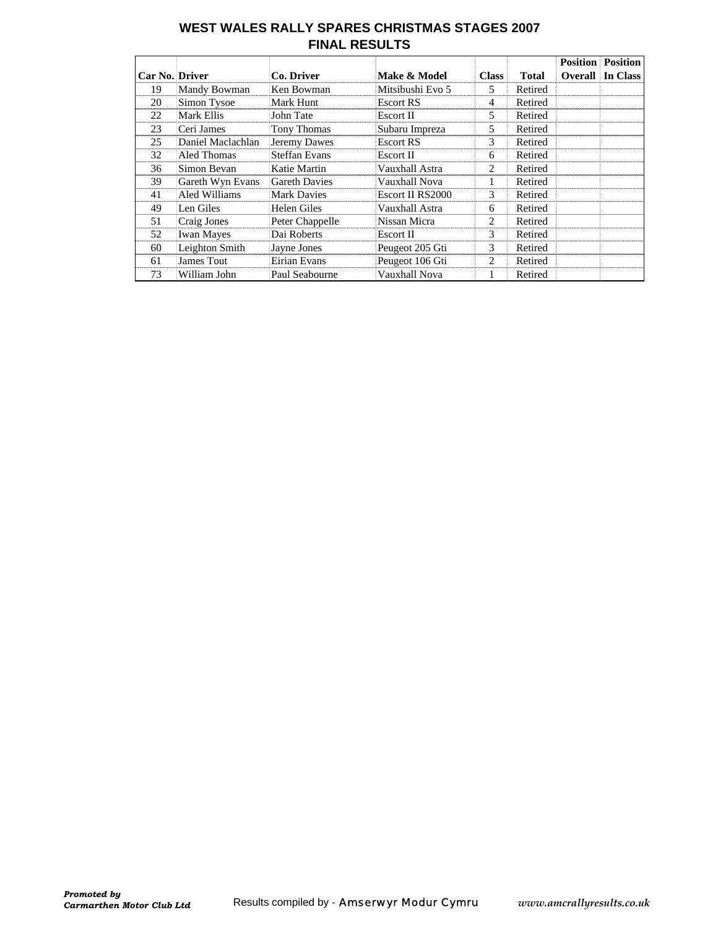### **WEST WALES RALLY SPARES CHRISTMAS STAGES 2007 FINAL RESULTS**

|                       |                   |                      |                  |              |              | <b>Position</b> | <b>Position</b>         |
|-----------------------|-------------------|----------------------|------------------|--------------|--------------|-----------------|-------------------------|
| <b>Car No. Driver</b> |                   | Co. Driver           | Make & Model     | <b>Class</b> | <b>Total</b> |                 | <b>Overall In Class</b> |
| 19                    | Mandy Bowman      | Ken Bowman           | Mitsibushi Evo 5 | 5.           | Retired      |                 |                         |
| 20                    | Simon Tysoe       | Mark Hunt            | Escort RS        | 4            | Retired      |                 |                         |
| 22                    | Mark Ellis        | John Tate            | Escort II        | 5            | Retired      |                 |                         |
| 23                    | Ceri James        | Tony Thomas          | Subaru Impreza   | 5            | Retired      |                 |                         |
| 25                    | Daniel Maclachlan | Jeremy Dawes         | <b>Escort RS</b> | 3            | Retired      |                 |                         |
| 32                    | Aled Thomas       | <b>Steffan Evans</b> | Escort II        | 6            | Retired      |                 |                         |
| 36                    | Simon Bevan       | Katie Martin         | Vauxhall Astra   | 2            | Retired      |                 |                         |
| 39                    | Gareth Wyn Evans  | <b>Gareth Davies</b> | Vauxhall Nova    | 1            | Retired      |                 |                         |
| 41                    | Aled Williams     | <b>Mark Davies</b>   | Escort II RS2000 | 3            | Retired      |                 |                         |
| 49                    | Len Giles         | Helen Giles          | Vauxhall Astra   | 6            | Retired      |                 |                         |
| 51                    | Craig Jones       | Peter Chappelle      | Nissan Micra     | 2            | Retired      |                 |                         |
| 52                    | <b>Iwan Mayes</b> | Dai Roberts          | Escort II        | 3            | Retired      |                 |                         |
| 60                    | Leighton Smith    | Jayne Jones          | Peugeot 205 Gti  | 3            | Retired      |                 |                         |
| 61                    | James Tout        | Eirian Evans         | Peugeot 106 Gti  | 2            | Retired      |                 |                         |
| 73                    | William John      | Paul Seabourne       | Vauxhall Nova    | 1            | Retired      |                 |                         |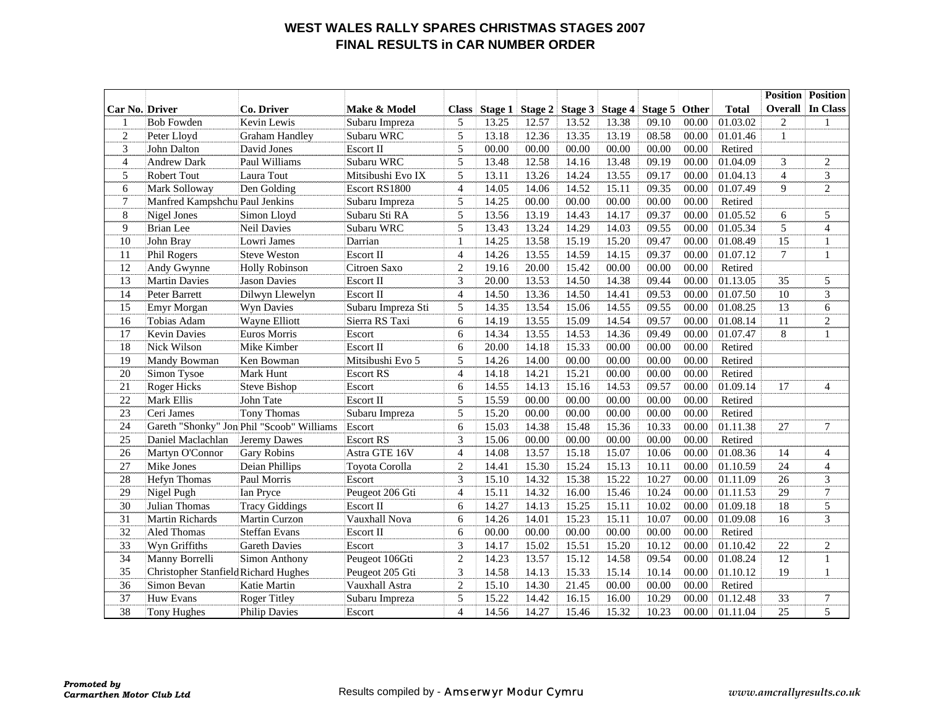#### **WEST WALES RALLY SPARES CHRISTMAS STAGES 2007 FINAL RESULTS in CAR NUMBER ORDER**

|                       |                                      |                                           |                    |                          |         |         |       |                 |         |       |              | <b>Position</b> | <b>Position</b> |
|-----------------------|--------------------------------------|-------------------------------------------|--------------------|--------------------------|---------|---------|-------|-----------------|---------|-------|--------------|-----------------|-----------------|
| <b>Car No. Driver</b> |                                      | Co. Driver                                | Make & Model       | <b>Class</b>             | Stage 1 | Stage 2 |       | Stage 3 Stage 4 | Stage 5 | Other | <b>Total</b> | Overall         | In Class        |
| -1                    | <b>Bob Fowden</b>                    | Kevin Lewis                               | Subaru Impreza     | 5                        | 13.25   | 12.57   | 13.52 | 13.38           | 09.10   | 00.00 | 01.03.02     | $\overline{c}$  | 1               |
| $\overline{2}$        | Peter Lloyd                          | <b>Graham Handley</b>                     | Subaru WRC         | 5                        | 13.18   | 12.36   | 13.35 | 13.19           | 08.58   | 00.00 | 01.01.46     | $\mathbf{1}$    |                 |
| 3                     | John Dalton                          | David Jones                               | <b>Escort II</b>   | 5                        | 00.00   | 00.00   | 00.00 | 00.00           | 00.00   | 00.00 | Retired      |                 |                 |
| $\overline{4}$        | <b>Andrew Dark</b>                   | Paul Williams                             | Subaru WRC         | 5                        | 13.48   | 12.58   | 14.16 | 13.48           | 09.19   | 00.00 | 01.04.09     | 3               | $\overline{2}$  |
| 5                     | <b>Robert Tout</b>                   | Laura Tout                                | Mitsibushi Evo IX  | 5                        | 13.11   | 13.26   | 14.24 | 13.55           | 09.17   | 00.00 | 01.04.13     | $\overline{4}$  | 3               |
| 6                     | Mark Solloway                        | Den Golding                               | Escort RS1800      | $\overline{4}$           | 14.05   | 14.06   | 14.52 | 15.11           | 09.35   | 00.00 | 01.07.49     | 9               | 2               |
| $\boldsymbol{7}$      | Manfred Kampshchu Paul Jenkins       |                                           | Subaru Impreza     | 5                        | 14.25   | 00.00   | 00.00 | 00.00           | 00.00   | 00.00 | Retired      |                 |                 |
| 8                     | Nigel Jones                          | Simon Lloyd                               | Subaru Sti RA      | 5                        | 13.56   | 13.19   | 14.43 | 14.17           | 09.37   | 00.00 | 01.05.52     | 6               | 5               |
| 9                     | <b>Brian</b> Lee                     | <b>Neil Davies</b>                        | Subaru WRC         | 5                        | 13.43   | 13.24   | 14.29 | 14.03           | 09.55   | 00.00 | 01.05.34     | $\overline{5}$  | $\overline{4}$  |
| 10                    | John Bray                            | Lowri James                               | Darrian            | $\mathbf{1}$             | 14.25   | 13.58   | 15.19 | 15.20           | 09.47   | 00.00 | 01.08.49     | 15              | $\mathbf{1}$    |
| 11                    | Phil Rogers                          | <b>Steve Weston</b>                       | <b>Escort II</b>   | $\overline{4}$           | 14.26   | 13.55   | 14.59 | 14.15           | 09.37   | 00.00 | 01.07.12     | $\tau$          | $\mathbf{1}$    |
| 12                    | Andy Gwynne                          | <b>Holly Robinson</b>                     | Citroen Saxo       | $\overline{c}$           | 19.16   | 20.00   | 15.42 | 00.00           | 00.00   | 00.00 | Retired      |                 |                 |
| 13                    | <b>Martin Davies</b>                 | <b>Jason Davies</b>                       | Escort II          | 3                        | 20.00   | 13.53   | 14.50 | 14.38           | 09.44   | 00.00 | 01.13.05     | 35              | 5               |
| 14                    | Peter Barrett                        | Dilwyn Llewelyn                           | Escort II          | $\overline{4}$           | 14.50   | 13.36   | 14.50 | 14.41           | 09.53   | 00.00 | 01.07.50     | 10              | 3               |
| 15                    | Emyr Morgan                          | Wyn Davies                                | Subaru Impreza Sti | 5                        | 14.35   | 13.54   | 15.06 | 14.55           | 09.55   | 00.00 | 01.08.25     | 13              | 6               |
| 16                    | Tobias Adam                          | Wayne Elliott                             | Sierra RS Taxi     | 6                        | 14.19   | 13.55   | 15.09 | 14.54           | 09.57   | 00.00 | 01.08.14     | 11              | $\sqrt{2}$      |
| 17                    | <b>Kevin Davies</b>                  | Euros Morris                              | Escort             | 6                        | 14.34   | 13.55   | 14.53 | 14.36           | 09.49   | 00.00 | 01.07.47     | 8               | $\mathbf{1}$    |
| 18                    | Nick Wilson                          | Mike Kimber                               | <b>Escort II</b>   | 6                        | 20.00   | 14.18   | 15.33 | 00.00           | 00.00   | 00.00 | Retired      |                 |                 |
| 19                    | Mandy Bowman                         | Ken Bowman                                | Mitsibushi Evo 5   | 5                        | 14.26   | 14.00   | 00.00 | 00.00           | 00.00   | 00.00 | Retired      |                 |                 |
| 20                    | Simon Tysoe                          | <b>Mark Hunt</b>                          | <b>Escort RS</b>   | $\overline{4}$           | 14.18   | 14.21   | 15.21 | 00.00           | 00.00   | 00.00 | Retired      |                 |                 |
| 21                    | <b>Roger Hicks</b>                   | Steve Bishop                              | Escort             | 6                        | 14.55   | 14.13   | 15.16 | 14.53           | 09.57   | 00.00 | 01.09.14     | 17              | $\overline{4}$  |
| 22                    | Mark Ellis                           | John Tate                                 | <b>Escort II</b>   | 5                        | 15.59   | 00.00   | 00.00 | 00.00           | 00.00   | 00.00 | Retired      |                 |                 |
| 23                    | Ceri James                           | Tony Thomas                               | Subaru Impreza     | 5                        | 15.20   | 00.00   | 00.00 | 00.00           | 00.00   | 00.00 | Retired      |                 |                 |
| 24                    |                                      | Gareth "Shonky" Jon Phil "Scoob" Williams | Escort             | 6                        | 15.03   | 14.38   | 15.48 | 15.36           | 10.33   | 00.00 | 01.11.38     | 27              | $7\phantom{.0}$ |
| 25                    | Daniel Maclachlan                    | Jeremy Dawes                              | <b>Escort RS</b>   | 3                        | 15.06   | 00.00   | 00.00 | 00.00           | 00.00   | 00.00 | Retired      |                 |                 |
| 26                    | Martyn O'Connor                      | <b>Gary Robins</b>                        | Astra GTE 16V      | $\overline{4}$           | 14.08   | 13.57   | 15.18 | 15.07           | 10.06   | 00.00 | 01.08.36     | 14              | $\overline{4}$  |
| 27                    | Mike Jones                           | Deian Phillips                            | Toyota Corolla     | $\overline{2}$           | 14.41   | 15.30   | 15.24 | 15.13           | 10.11   | 00.00 | 01.10.59     | 24              | $\overline{4}$  |
| 28                    | <b>Hefyn Thomas</b>                  | Paul Morris                               | Escort             | 3                        | 15.10   | 14.32   | 15.38 | 15.22           | 10.27   | 00.00 | 01.11.09     | 26              | $\mathfrak{Z}$  |
| 29                    | Nigel Pugh                           | Ian Pryce                                 | Peugeot 206 Gti    | $\overline{4}$           | 15.11   | 14.32   | 16.00 | 15.46           | 10.24   | 00.00 | 01.11.53     | 29              | $\tau$          |
| 30                    | Julian Thomas                        | <b>Tracy Giddings</b>                     | <b>Escort II</b>   | 6                        | 14.27   | 14.13   | 15.25 | 15.11           | 10.02   | 00.00 | 01.09.18     | 18              | 5               |
| 31                    | <b>Martin Richards</b>               | Martin Curzon                             | Vauxhall Nova      | 6                        | 14.26   | 14.01   | 15.23 | 15.11           | 10.07   | 00.00 | 01.09.08     | 16              | 3               |
| $\overline{32}$       | Aled Thomas                          | <b>Steffan Evans</b>                      | Escort II          | 6                        | 00.00   | 00.00   | 00.00 | 00.00           | 00.00   | 00.00 | Retired      |                 |                 |
| 33                    | Wyn Griffiths                        | <b>Gareth Davies</b>                      | Escort             | 3                        | 14.17   | 15.02   | 15.51 | 15.20           | 10.12   | 00.00 | 01.10.42     | 22              | 2               |
| 34                    | Manny Borrelli                       | Simon Anthony                             | Peugeot 106Gti     | $\overline{2}$           | 14.23   | 13.57   | 15.12 | 14.58           | 09.54   | 00.00 | 01.08.24     | 12              | $\mathbf{1}$    |
| 35                    | Christopher Stanfield Richard Hughes |                                           | Peugeot 205 Gti    | 3                        | 14.58   | 14.13   | 15.33 | 15.14           | 10.14   | 00.00 | 01.10.12     | 19              | $\mathbf{1}$    |
| 36                    | Simon Bevan                          | Katie Martin                              | Vauxhall Astra     | $\overline{c}$           | 15.10   | 14.30   | 21.45 | 00.00           | 00.00   | 00.00 | Retired      |                 |                 |
| 37                    | Huw Evans                            | <b>Roger Titley</b>                       | Subaru Impreza     | 5                        | 15.22   | 14.42   | 16.15 | 16.00           | 10.29   | 00.00 | 01.12.48     | 33              | 7               |
| 38                    | Tony Hughes                          | <b>Philip Davies</b>                      | Escort             | $\overline{\mathcal{L}}$ | 14.56   | 14.27   | 15.46 | 15.32           | 10.23   | 00.00 | 01.11.04     | 25              | 5               |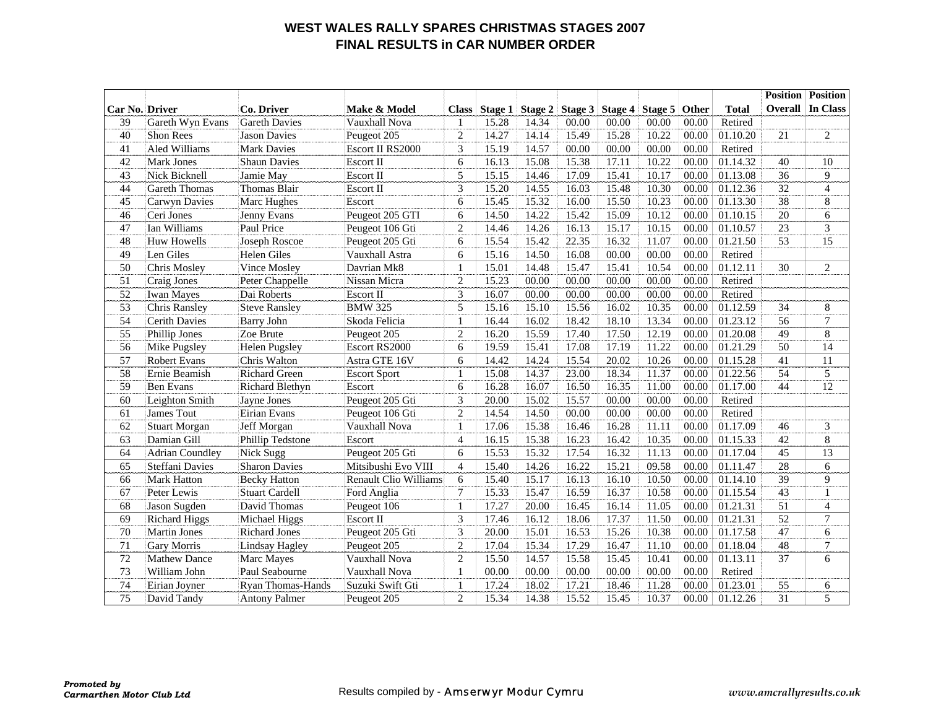#### **WEST WALES RALLY SPARES CHRISTMAS STAGES 2007 FINAL RESULTS in CAR NUMBER ORDER**

|                |                        |                        |                              |                 |                |         |       |                 |               |       |              |                 | <b>Position</b> Position |
|----------------|------------------------|------------------------|------------------------------|-----------------|----------------|---------|-------|-----------------|---------------|-------|--------------|-----------------|--------------------------|
| Car No. Driver |                        | Co. Driver             | Make & Model                 | <b>Class</b>    | <b>Stage 1</b> | Stage 2 |       | Stage 3 Stage 4 | Stage 5 Other |       | <b>Total</b> |                 | <b>Overall In Class</b>  |
| 39             | Gareth Wyn Evans       | <b>Gareth Davies</b>   | Vauxhall Nova                | -1              | 15.28          | 14.34   | 00.00 | 00.00           | 00.00         | 00.00 | Retired      |                 |                          |
| 40             | <b>Shon Rees</b>       | <b>Jason Davies</b>    | Peugeot 205                  | $\overline{2}$  | 14.27          | 14.14   | 15.49 | 15.28           | 10.22         | 00.00 | 01.10.20     | 21              | $\overline{c}$           |
| 41             | Aled Williams          | <b>Mark Davies</b>     | Escort II RS2000             | 3               | 15.19          | 14.57   | 00.00 | 00.00           | 00.00         | 00.00 | Retired      |                 |                          |
| 42             | <b>Mark Jones</b>      | <b>Shaun Davies</b>    | Escort II                    | 6               | 16.13          | 15.08   | 15.38 | 17.11           | 10.22         | 00.00 | 01.14.32     | 40              | 10                       |
| 43             | Nick Bicknell          | Jamie May              | <b>Escort II</b>             | 5               | 15.15          | 14.46   | 17.09 | 15.41           | 10.17         | 00.00 | 01.13.08     | 36              | 9                        |
| 44             | <b>Gareth Thomas</b>   | Thomas Blair           | <b>Escort II</b>             | 3               | 15.20          | 14.55   | 16.03 | 15.48           | 10.30         | 00.00 | 01.12.36     | 32              | $\overline{4}$           |
| 45             | Carwyn Davies          | Marc Hughes            | Escort                       | 6               | 15.45          | 15.32   | 16.00 | 15.50           | 10.23         | 00.00 | 01.13.30     | $\overline{38}$ | 8                        |
| 46             | Ceri Jones             | Jenny Evans            | Peugeot 205 GTI              | 6               | 14.50          | 14.22   | 15.42 | 15.09           | 10.12         | 00.00 | 01.10.15     | 20              | 6                        |
| 47             | Ian Williams           | Paul Price             | Peugeot 106 Gti              | 2               | 14.46          | 14.26   | 16.13 | 15.17           | 10.15         | 00.00 | 01.10.57     | $\overline{23}$ | 3                        |
| 48             | <b>Huw Howells</b>     | Joseph Roscoe          | Peugeot 205 Gti              | 6               | 15.54          | 15.42   | 22.35 | 16.32           | 11.07         | 00.00 | 01.21.50     | 53              | 15                       |
| 49             | Len Giles              | <b>Helen Giles</b>     | Vauxhall Astra               | 6               | 15.16          | 14.50   | 16.08 | 00.00           | 00.00         | 00.00 | Retired      |                 |                          |
| 50             | Chris Mosley           | Vince Mosley           | Davrian Mk8                  | $\mathbf{1}$    | 15.01          | 14.48   | 15.47 | 15.41           | 10.54         | 00.00 | 01.12.11     | 30              | $\overline{c}$           |
| 51             | Craig Jones            | Peter Chappelle        | Nissan Micra                 | $\overline{2}$  | 15.23          | 00.00   | 00.00 | 00.00           | 00.00         | 00.00 | Retired      |                 |                          |
| 52             | <b>Iwan Mayes</b>      | Dai Roberts            | Escort II                    | 3               | 16.07          | 00.00   | 00.00 | 00.00           | 00.00         | 00.00 | Retired      |                 |                          |
| 53             | Chris Ransley          | <b>Steve Ransley</b>   | <b>BMW 325</b>               | 5               | 15.16          | 15.10   | 15.56 | 16.02           | 10.35         | 00.00 | 01.12.59     | 34              | 8                        |
| 54             | <b>Cerith Davies</b>   | <b>Barry John</b>      | Skoda Felicia                | $\mathbf{1}$    | 16.44          | 16.02   | 18.42 | 18.10           | 13.34         | 00.00 | 01.23.12     | 56              | 7                        |
| 55             | Phillip Jones          | Zoe Brute              | Peugeot 205                  | $\overline{2}$  | 16.20          | 15.59   | 17.40 | 17.50           | 12.19         | 00.00 | 01.20.08     | 49              | 8                        |
| 56             | Mike Pugsley           | <b>Helen Pugsley</b>   | Escort RS2000                | 6               | 19.59          | 15.41   | 17.08 | 17.19           | 11.22         | 00.00 | 01.21.29     | 50              | 14                       |
| 57             | <b>Robert Evans</b>    | Chris Walton           | Astra GTE 16V                | 6               | 14.42          | 14.24   | 15.54 | 20.02           | 10.26         | 00.00 | 01.15.28     | 41              | 11                       |
| 58             | Ernie Beamish          | <b>Richard Green</b>   | <b>Escort Sport</b>          | $\overline{1}$  | 15.08          | 14.37   | 23.00 | 18.34           | 11.37         | 00.00 | 01.22.56     | 54              | 5                        |
| 59             | <b>Ben Evans</b>       | <b>Richard Blethyn</b> | Escort                       | 6               | 16.28          | 16.07   | 16.50 | 16.35           | 11.00         | 00.00 | 01.17.00     | 44              | 12                       |
| 60             | Leighton Smith         | Jayne Jones            | Peugeot 205 Gti              | 3               | 20.00          | 15.02   | 15.57 | 00.00           | 00.00         | 00.00 | Retired      |                 |                          |
| 61             | James Tout             | Eirian Evans           | Peugeot 106 Gti              | $\overline{2}$  | 14.54          | 14.50   | 00.00 | 00.00           | 00.00         | 00.00 | Retired      |                 |                          |
| 62             | <b>Stuart Morgan</b>   | Jeff Morgan            | Vauxhall Nova                | $\mathbf{1}$    | 17.06          | 15.38   | 16.46 | 16.28           | 11.11         | 00.00 | 01.17.09     | 46              | $\mathfrak{Z}$           |
| 63             | Damian Gill            | Phillip Tedstone       | Escort                       | $\overline{4}$  | 16.15          | 15.38   | 16.23 | 16.42           | 10.35         | 00.00 | 01.15.33     | 42              | 8                        |
| 64             | <b>Adrian Coundley</b> | Nick Sugg              | Peugeot 205 Gti              | 6               | 15.53          | 15.32   | 17.54 | 16.32           | 11.13         | 00.00 | 01.17.04     | 45              | 13                       |
| 65             | Steffani Davies        | <b>Sharon Davies</b>   | Mitsibushi Evo VIII          | $\overline{4}$  | 15.40          | 14.26   | 16.22 | 15.21           | 09.58         | 00.00 | 01.11.47     | 28              | 6                        |
| 66             | <b>Mark Hatton</b>     | <b>Becky Hatton</b>    | <b>Renault Clio Williams</b> | 6               | 15.40          | 15.17   | 16.13 | 16.10           | 10.50         | 00.00 | 01.14.10     | 39              | 9                        |
| 67             | Peter Lewis            | <b>Stuart Cardell</b>  | Ford Anglia                  | $7\phantom{.0}$ | 15.33          | 15.47   | 16.59 | 16.37           | 10.58         | 00.00 | 01.15.54     | 43              | $\mathbf{1}$             |
| 68             | Jason Sugden           | David Thomas           | Peugeot 106                  | $\mathbf{1}$    | 17.27          | 20.00   | 16.45 | 16.14           | 11.05         | 00.00 | 01.21.31     | 51              | $\overline{4}$           |
| 69             | <b>Richard Higgs</b>   | Michael Higgs          | <b>Escort II</b>             | 3               | 17.46          | 16.12   | 18.06 | 17.37           | 11.50         | 00.00 | 01.21.31     | 52              | 7                        |
| 70             | <b>Martin Jones</b>    | <b>Richard Jones</b>   | Peugeot 205 Gti              | 3               | 20.00          | 15.01   | 16.53 | 15.26           | 10.38         | 00.00 | 01.17.58     | 47              | 6                        |
| 71             | <b>Gary Morris</b>     | Lindsay Hagley         | Peugeot 205                  | $\overline{2}$  | 17.04          | 15.34   | 17.29 | 16.47           | 11.10         | 00.00 | 01.18.04     | 48              | $\tau$                   |
| 72             | <b>Mathew Dance</b>    | Marc Mayes             | Vauxhall Nova                | $\overline{2}$  | 15.50          | 14.57   | 15.58 | 15.45           | 10.41         | 00.00 | 01.13.11     | 37              | 6                        |
| 73             | William John           | Paul Seabourne         | Vauxhall Nova                | $\mathbf{1}$    | 00.00          | 00.00   | 00.00 | 00.00           | 00.00         | 00.00 | Retired      |                 |                          |
| 74             | Eirian Joyner          | Ryan Thomas-Hands      | Suzuki Swift Gti             | $\mathbf{1}$    | 17.24          | 18.02   | 17.21 | 18.46           | 11.28         | 00.00 | 01.23.01     | 55              | 6                        |
| 75             | David Tandy            | <b>Antony Palmer</b>   | Peugeot 205                  | $\overline{2}$  | 15.34          | 14.38   | 15.52 | 15.45           | 10.37         | 00.00 | 01.12.26     | 31              | 5                        |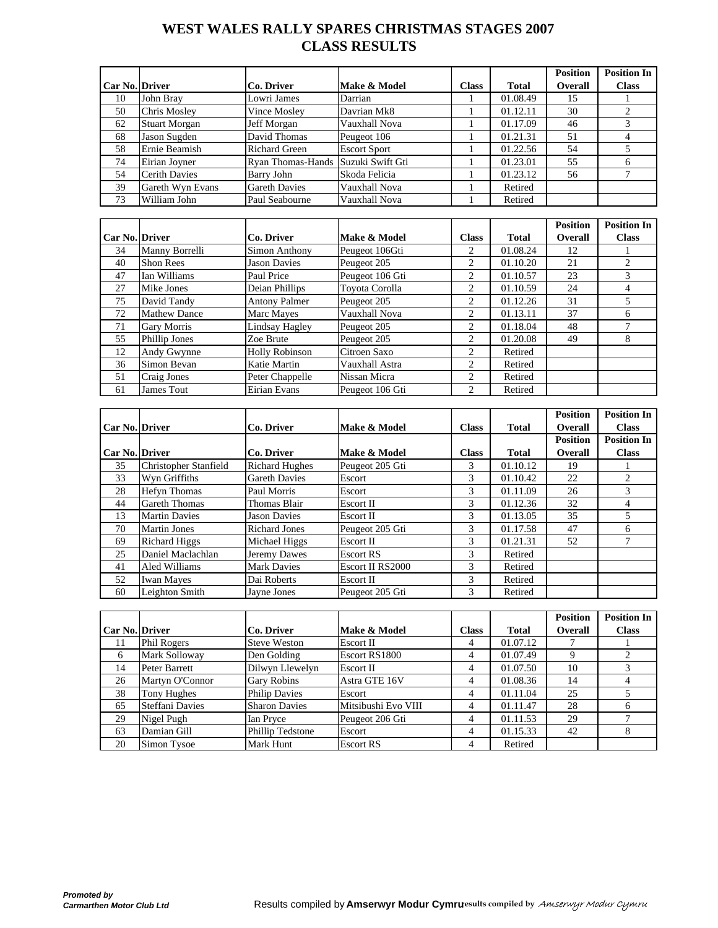## **WEST WALES RALLY SPARES CHRISTMAS STAGES 2007 CLASS RESULTS**

|                |                      |                                    |                     |              |              | <b>Position</b> | <b>Position In</b> |
|----------------|----------------------|------------------------------------|---------------------|--------------|--------------|-----------------|--------------------|
| Car No. Driver |                      | Co. Driver                         | Make & Model        | <b>Class</b> | <b>Total</b> | <b>Overall</b>  | <b>Class</b>       |
| 10             | John Bray            | Lowri James                        | Darrian             |              | 01.08.49     | 15              |                    |
| 50             | <b>Chris Mosley</b>  | Vince Mosley                       | Davrian Mk8         |              | 01.12.11     | 30              |                    |
| 62             | <b>Stuart Morgan</b> | Jeff Morgan                        | Vauxhall Nova       |              | 01.17.09     | 46              |                    |
| 68             | Jason Sugden         | David Thomas                       | Peugeot 106         |              | 01.21.31     | 51              |                    |
| 58             | Ernie Beamish        | <b>Richard Green</b>               | <b>Escort Sport</b> |              | 01.22.56     | 54              |                    |
| 74             | Eirian Joyner        | Ryan Thomas-Hands Suzuki Swift Gti |                     |              | 01.23.01     | 55              |                    |
| 54             | <b>Cerith Davies</b> | Barry John                         | Skoda Felicia       |              | 01.23.12     | 56              |                    |
| 39             | Gareth Wyn Evans     | <b>Gareth Davies</b>               | Vauxhall Nova       |              | Retired      |                 |                    |
| 73             | William John         | Paul Seabourne                     | Vauxhall Nova       |              | Retired      |                 |                    |

|                       |                     |                       |                 |       |              | <b>Position</b> | <b>Position In</b> |
|-----------------------|---------------------|-----------------------|-----------------|-------|--------------|-----------------|--------------------|
| <b>Car No. Driver</b> |                     | Co. Driver            | Make & Model    | Class | <b>Total</b> | <b>Overall</b>  | <b>Class</b>       |
| 34                    | Manny Borrelli      | Simon Anthony         | Peugeot 106Gti  | 2     | 01.08.24     | 12              |                    |
| 40                    | <b>Shon Rees</b>    | <b>Jason Davies</b>   | Peugeot 205     | 2     | 01.10.20     | 21              |                    |
| 47                    | Ian Williams        | Paul Price            | Peugeot 106 Gti | 2     | 01.10.57     | 23              |                    |
| 27                    | Mike Jones          | Deian Phillips        | Toyota Corolla  | 2     | 01.10.59     | 24              | 4                  |
| 75                    | David Tandy         | <b>Antony Palmer</b>  | Peugeot 205     | 2     | 01.12.26     | 31              |                    |
| 72                    | <b>Mathew Dance</b> | Marc Mayes            | Vauxhall Nova   | 2     | 01.13.11     | 37              | 6                  |
| 71                    | <b>Gary Morris</b>  | Lindsay Hagley        | Peugeot 205     | 2     | 01.18.04     | 48              |                    |
| 55                    | Phillip Jones       | Zoe Brute             | Peugeot 205     | 2     | 01.20.08     | 49              | 8                  |
| 12                    | Andy Gwynne         | <b>Holly Robinson</b> | Citroen Saxo    | 2     | Retired      |                 |                    |
| 36                    | Simon Bevan         | Katie Martin          | Vauxhall Astra  | 2     | Retired      |                 |                    |
| 51                    | Craig Jones         | Peter Chappelle       | Nissan Micra    | 2     | Retired      |                 |                    |
| 61                    | James Tout          | Eirian Evans          | Peugeot 106 Gti | 2     | Retired      |                 |                    |

|                       |                       |                       |                  |              |              | <b>Position</b> | <b>Position In</b> |
|-----------------------|-----------------------|-----------------------|------------------|--------------|--------------|-----------------|--------------------|
| <b>Car No. Driver</b> |                       | Co. Driver            | Make & Model     | <b>Class</b> | <b>Total</b> | <b>Overall</b>  | <b>Class</b>       |
|                       |                       |                       |                  |              |              | <b>Position</b> | <b>Position In</b> |
| <b>Car No. Driver</b> |                       | Co. Driver            | Make & Model     | <b>Class</b> | <b>Total</b> | <b>Overall</b>  | <b>Class</b>       |
| 35                    | Christopher Stanfield | <b>Richard Hughes</b> | Peugeot 205 Gti  | 3            | 01.10.12     | 19              |                    |
| 33                    | Wyn Griffiths         | <b>Gareth Davies</b>  | Escort           | 3            | 01.10.42     | 22              |                    |
| 28                    | <b>Hefyn Thomas</b>   | Paul Morris           | Escort           | 3            | 01.11.09     | 26              |                    |
| 44                    | <b>Gareth Thomas</b>  | Thomas Blair          | Escort II        | 3            | 01.12.36     | 32              |                    |
| 13                    | <b>Martin Davies</b>  | <b>Jason Davies</b>   | Escort II        | 3            | 01.13.05     | 35              |                    |
| 70                    | <b>Martin Jones</b>   | Richard Jones         | Peugeot 205 Gti  | 3            | 01.17.58     | 47              | 6                  |
| 69                    | <b>Richard Higgs</b>  | Michael Higgs         | <b>Escort II</b> | 3            | 01.21.31     | 52              |                    |
| 25                    | Daniel Maclachlan     | Jeremy Dawes          | <b>Escort RS</b> | 3            | Retired      |                 |                    |
| 41                    | Aled Williams         | <b>Mark Davies</b>    | Escort II RS2000 | 3            | Retired      |                 |                    |
| 52                    | <b>Iwan Mayes</b>     | Dai Roberts           | Escort II        | 3            | Retired      |                 |                    |
| 60                    | Leighton Smith        | Javne Jones           | Peugeot 205 Gti  | 3            | Retired      |                 |                    |

|                       |                        |                      |                     |              |              | <b>Position</b> | <b>Position In</b> |
|-----------------------|------------------------|----------------------|---------------------|--------------|--------------|-----------------|--------------------|
| <b>Car No. Driver</b> |                        | <b>Co. Driver</b>    | Make & Model        | <b>Class</b> | <b>Total</b> | <b>Overall</b>  | <b>Class</b>       |
| 11                    | Phil Rogers            | <b>Steve Weston</b>  | Escort II           | 4            | 01.07.12     |                 |                    |
| 6                     | Mark Solloway          | Den Golding          | Escort RS1800       | 4            | 01.07.49     |                 |                    |
| 14                    | Peter Barrett          | Dilwyn Llewelyn      | Escort II           | 4            | 01.07.50     | 10              |                    |
| 26                    | Martyn O'Connor        | <b>Gary Robins</b>   | Astra GTE 16V       | 4            | 01.08.36     | 14              |                    |
| 38                    | Tony Hughes            | <b>Philip Davies</b> | Escort              | 4            | 01.11.04     | 25              |                    |
| 65                    | <b>Steffani Davies</b> | <b>Sharon Davies</b> | Mitsibushi Evo VIII | 4            | 01.11.47     | 28              | h                  |
| 29                    | Nigel Pugh             | Ian Pryce            | Peugeot 206 Gti     | 4            | 01.11.53     | 29              |                    |
| 63                    | Damian Gill            | Phillip Tedstone     | Escort              | 4            | 01.15.33     | 42              | 8                  |
| 20                    | Simon Tysoe            | Mark Hunt            | <b>Escort RS</b>    | 4            | Retired      |                 |                    |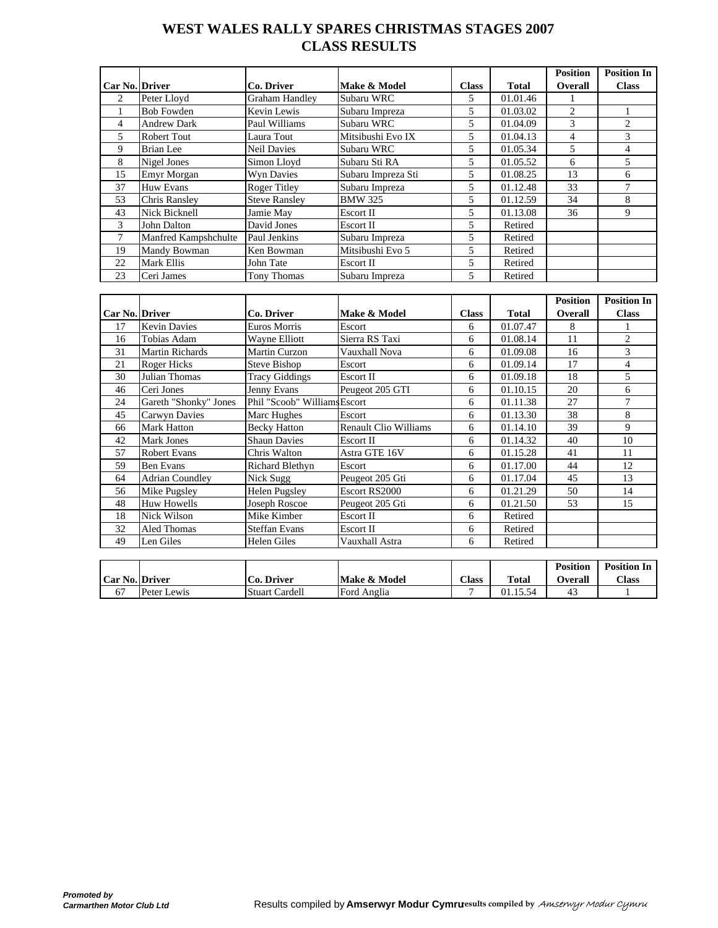## **WEST WALES RALLY SPARES CHRISTMAS STAGES 2007 CLASS RESULTS**

|                       |                      |                       |                    |              |              | <b>Position</b> | <b>Position In</b> |
|-----------------------|----------------------|-----------------------|--------------------|--------------|--------------|-----------------|--------------------|
| <b>Car No. Driver</b> |                      | <b>Co. Driver</b>     | Make & Model       | <b>Class</b> | <b>Total</b> | <b>Overall</b>  | <b>Class</b>       |
| 2                     | Peter Lloyd          | <b>Graham Handley</b> | Subaru WRC         | 5            | 01.01.46     |                 |                    |
|                       | <b>Bob Fowden</b>    | Kevin Lewis           | Subaru Impreza     | 5            | 01.03.02     | $\overline{2}$  |                    |
| $\overline{4}$        | <b>Andrew Dark</b>   | Paul Williams         | Subaru WRC         | 5            | 01.04.09     | $\mathcal{E}$   | 2                  |
| 5.                    | Robert Tout          | Laura Tout            | Mitsibushi Evo IX  | 5            | 01.04.13     | 4               | 3                  |
| 9                     | <b>Brian Lee</b>     | <b>Neil Davies</b>    | Subaru WRC         | 5            | 01.05.34     | $\overline{5}$  | 4                  |
| 8                     | Nigel Jones          | Simon Lloyd           | Subaru Sti RA      | 5            | 01.05.52     | 6               | 5                  |
| 15                    | <b>Emyr Morgan</b>   | Wyn Davies            | Subaru Impreza Sti | 5            | 01.08.25     | 13              | 6                  |
| 37                    | <b>Huw Evans</b>     | <b>Roger Titley</b>   | Subaru Impreza     | 5            | 01.12.48     | 33              |                    |
| 53                    | <b>Chris Ransley</b> | <b>Steve Ransley</b>  | <b>BMW 325</b>     | 5            | 01.12.59     | 34              | 8                  |
| 43                    | Nick Bicknell        | Jamie May             | Escort II          | 5            | 01.13.08     | 36              | 9                  |
| 3                     | John Dalton          | David Jones           | Escort II          | 5            | Retired      |                 |                    |
| 7                     | Manfred Kampshchulte | Paul Jenkins          | Subaru Impreza     | 5            | Retired      |                 |                    |
| 19                    | Mandy Bowman         | Ken Bowman            | Mitsibushi Evo 5   | 5            | Retired      |                 |                    |
| 22                    | Mark Ellis           | John Tate             | Escort II          | 5            | Retired      |                 |                    |
| 23                    | Ceri James           | Tony Thomas           | Subaru Impreza     | 5            | Retired      |                 |                    |

|                |                        |                              |                              |              |              | <b>Position</b> | <b>Position In</b> |
|----------------|------------------------|------------------------------|------------------------------|--------------|--------------|-----------------|--------------------|
| Car No. Driver |                        | Co. Driver                   | Make & Model                 | <b>Class</b> | <b>Total</b> | Overall         | <b>Class</b>       |
| 17             | <b>Kevin Davies</b>    | Euros Morris                 | Escort                       | 6            | 01.07.47     | 8               |                    |
| 16             | Tobias Adam            | Wayne Elliott                | Sierra RS Taxi               | 6            | 01.08.14     | 11              | $\overline{c}$     |
| 31             | Martin Richards        | Martin Curzon                | Vauxhall Nova                | 6            | 01.09.08     | 16              | 3                  |
| 21             | Roger Hicks            | Steve Bishop                 | Escort                       | 6            | 01.09.14     | 17              | 4                  |
| 30             | Julian Thomas          | <b>Tracy Giddings</b>        | Escort II                    | 6            | 01.09.18     | 18              | 5                  |
| 46             | Ceri Jones             | Jenny Evans                  | Peugeot 205 GTI              | 6            | 01.10.15     | 20              | 6                  |
| 24             | Gareth "Shonky" Jones  | Phil "Scoob" Williams Escort |                              | 6            | 01.11.38     | 27              | 7                  |
| 45             | <b>Carwyn Davies</b>   | Marc Hughes                  | Escort                       | 6            | 01.13.30     | 38              | 8                  |
| 66             | <b>Mark Hatton</b>     | <b>Becky Hatton</b>          | <b>Renault Clio Williams</b> | 6            | 01.14.10     | 39              | 9                  |
| 42             | Mark Jones             | <b>Shaun Davies</b>          | Escort II                    | 6            | 01.14.32     | 40              | 10                 |
| 57             | <b>Robert Evans</b>    | Chris Walton                 | Astra GTE 16V                | 6            | 01.15.28     | 41              | 11                 |
| 59             | Ben Evans              | Richard Blethyn              | Escort                       | 6            | 01.17.00     | 44              | 12                 |
| 64             | <b>Adrian Coundley</b> | Nick Sugg                    | Peugeot 205 Gti              | 6            | 01.17.04     | 45              | 13                 |
| 56             | Mike Pugsley           | <b>Helen Pugsley</b>         | Escort RS2000                | 6            | 01.21.29     | 50              | 14                 |
| 48             | <b>Huw Howells</b>     | Joseph Roscoe                | Peugeot 205 Gti              | 6            | 01.21.50     | 53              | 15                 |
| 18             | Nick Wilson            | Mike Kimber                  | Escort II                    | 6            | Retired      |                 |                    |
| 32             | <b>Aled Thomas</b>     | <b>Steffan Evans</b>         | Escort II                    | 6            | Retired      |                 |                    |
| 49             | Len Giles              | <b>Helen Giles</b>           | Vauxhall Astra               | 6            | Retired      |                 |                    |

|                  |             |                        |              |              |                  | <b>Position</b> | <b>Position In</b> |
|------------------|-------------|------------------------|--------------|--------------|------------------|-----------------|--------------------|
| Car No.   Driver |             | <b>Driver</b><br>∴0. ` | Make & Model | <b>Class</b> | <b>Total</b>     | <b>Dverall</b>  | <b>Class</b>       |
| 67               | Peter Lewis | <b>Stuart Cardell</b>  | Ford Anglia  |              | 01.15.5<br>15.54 |                 |                    |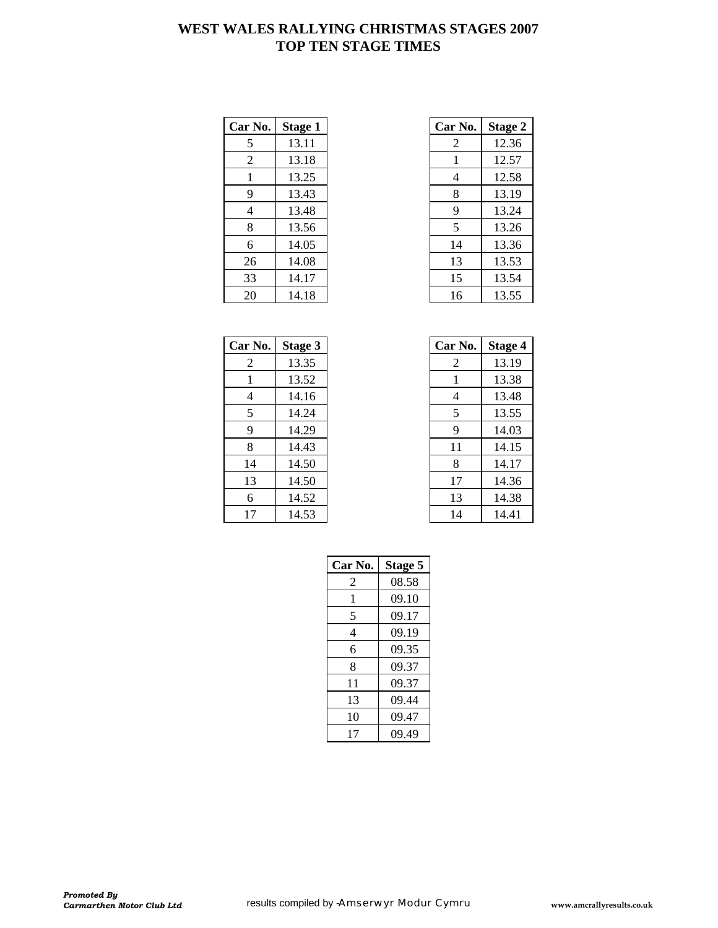## **WEST WALES RALLYING CHRISTMAS STAGES 2007 TOP TEN STAGE TIMES**

| Car No. | <b>Stage 1</b> | Car No. | <b>Stage 2</b> |
|---------|----------------|---------|----------------|
| 5       | 13.11          | 2       | 12.36          |
| 2       | 13.18          | 1       | 12.57          |
| 1       | 13.25          | 4       | 12.58          |
| 9       | 13.43          | 8       | 13.19          |
| 4       | 13.48          | 9       | 13.24          |
| 8       | 13.56          | 5       | 13.26          |
| 6       | 14.05          | 14      | 13.36          |
| 26      | 14.08          | 13      | 13.53          |
| 33      | 14.17          | 15      | 13.54          |
| 20      | 14.18          | 16      | 13.55          |

| r No.          | <b>Stage 1</b> | Car No. | <b>Stage 2</b> |
|----------------|----------------|---------|----------------|
| 5              | 13.11          | 2       | 12.36          |
| 2              | 13.18          |         | 12.57          |
| $\mathbf{1}$   | 13.25          | 4       | 12.58          |
| 9              | 13.43          | 8       | 13.19          |
| $\overline{4}$ | 13.48          | 9       | 13.24          |
| 8              | 13.56          | 5       | 13.26          |
| 6              | 14.05          | 14      | 13.36          |
| 26             | 14.08          | 13      | 13.53          |
| 33             | 14.17          | 15      | 13.54          |
| 20             | 14.18          | 16      | 13.55          |

| Car No. | Stage 3 | Car No. | <b>Stage 4</b> |
|---------|---------|---------|----------------|
| 2       | 13.35   | 2       | 13.19          |
| 1       | 13.52   | 1       | 13.38          |
| 4       | 14.16   | 4       | 13.48          |
| 5       | 14.24   | 5       | 13.55          |
| 9       | 14.29   | 9       | 14.03          |
| 8       | 14.43   | 11      | 14.15          |
| 14      | 14.50   | 8       | 14.17          |
| 13      | 14.50   | 17      | 14.36          |
| 6       | 14.52   | 13      | 14.38          |
| 17      | 14.53   | 14      | 14.41          |

| r No.          | Stage 3 | Car No. | <b>Stage 4</b> |
|----------------|---------|---------|----------------|
| 2              | 13.35   | 2       | 13.19          |
| -1             | 13.52   | 1       | 13.38          |
| $\overline{4}$ | 14.16   | 4       | 13.48          |
| 5              | 14.24   | 5       | 13.55          |
| 9              | 14.29   | 9       | 14.03          |
| 8              | 14.43   | 11      | 14.15          |
| 14             | 14.50   | 8       | 14.17          |
| 13             | 14.50   | 17      | 14.36          |
| 6              | 14.52   | 13      | 14.38          |
| 17             | 14.53   | 14      | 14.41          |

| Car No. | Stage 5 |
|---------|---------|
| 2       | 08.58   |
| 1       | 09.10   |
| 5       | 09.17   |
| 4       | 09.19   |
| 6       | 09.35   |
| 8       | 09.37   |
| 11      | 09.37   |
| 13      | 09.44   |
| 10      | 09.47   |
| 17      | 09.49   |